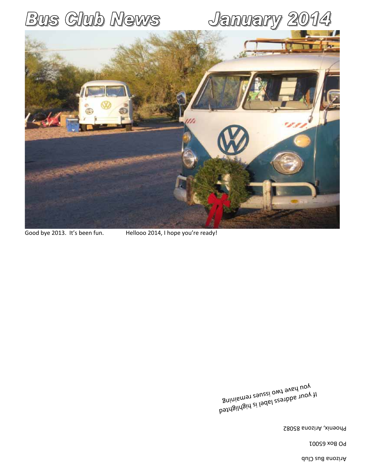Arizona Bus Club

PO Box 65001

Phoenix, Arizona 85082

If your address label is highlighted <sup>gninism</sup>s two issues remaining

Good bye 2013. It's been fun. Hellooo 2014, I hope you're ready!

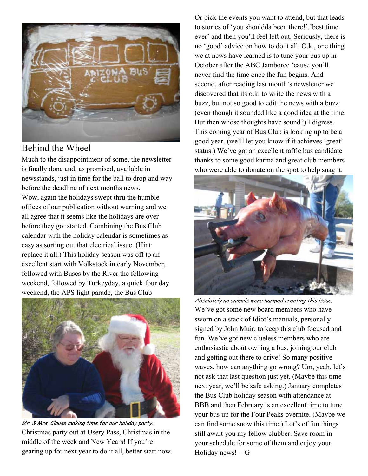

### Behind the Wheel

Much to the disappointment of some, the newsletter is finally done and, as promised, available in newsstands, just in time for the ball to drop and way before the deadline of next months news. Wow, again the holidays swept thru the humble offices of our publication without warning and we all agree that it seems like the holidays are over before they got started. Combining the Bus Club calendar with the holiday calendar is sometimes as easy as sorting out that electrical issue. (Hint: replace it all.) This holiday season was off to an excellent start with Volkstock in early November, followed with Buses by the River the following weekend, followed by Turkeyday, a quick four day weekend, the APS light parade, the Bus Club



Mr. & Mrs. Clause making time for our holiday party. Christmas party out at Usery Pass, Christmas in the middle of the week and New Years! If you're gearing up for next year to do it all, better start now.

Or pick the events you want to attend, but that leads to stories of 'you shouldda been there!','best time ever' and then you'll feel left out. Seriously, there is no 'good' advice on how to do it all. O.k., one thing we at news have learned is to tune your bus up in October after the ABC Jamboree 'cause you'll never find the time once the fun begins. And second, after reading last month's newsletter we discovered that its o.k. to write the news with a buzz, but not so good to edit the news with a buzz (even though it sounded like a good idea at the time. But then whose thoughts have sound?) I digress. This coming year of Bus Club is looking up to be a good year. (we'll let you know if it achieves 'great' status.) We've got an excellent raffle bus candidate thanks to some good karma and great club members who were able to donate on the spot to help snag it.



Absolutely no animals were harmed creating this issue. We've got some new board members who have sworn on a stack of Idiot's manuals, personally signed by John Muir, to keep this club focused and fun. We've got new clueless members who are enthusiastic about owning a bus, joining our club and getting out there to drive! So many positive waves, how can anything go wrong? Um, yeah, let's not ask that last question just yet. (Maybe this time next year, we'll be safe asking.) January completes the Bus Club holiday season with attendance at BBB and then February is an excellent time to tune your bus up for the Four Peaks overnite. (Maybe we can find some snow this time.) Lot's of fun things still await you my fellow clubber. Save room in your schedule for some of them and enjoy your Holiday news! - G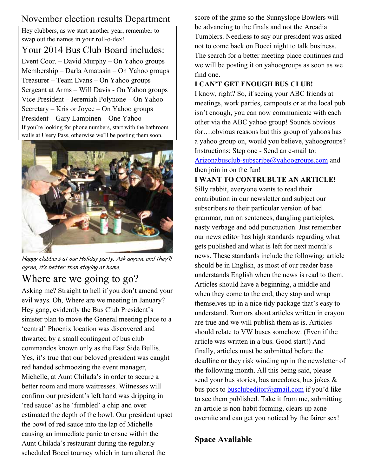# November election results Department

Hey clubbers, as we start another year, remember to swap out the names in your roll-o-dex!

Your 2014 Bus Club Board includes: Event Coor. – David Murphy – On Yahoo groups Membership – Darla Amatasin – On Yahoo groups Treasurer – Team Evans – On Yahoo groups Sergeant at Arms – Will Davis - On Yahoo groups Vice President – Jeremiah Polynone – On Yahoo Secretary – Kris or Joyce – On Yahoo groups President – Gary Lampinen – One Yahoo If you're looking for phone numbers, start with the bathroom walls at Usery Pass, otherwise we'll be posting them soon.



Happy clubbers at our Holiday party. Ask anyone and they'll agree, it's better than staying at home.

# Where are we going to go?

Asking me? Straight to hell if you don't amend your evil ways. Oh, Where are we meeting in January? Hey gang, evidently the Bus Club President's sinister plan to move the General meeting place to a 'central' Phoenix location was discovered and thwarted by a small contingent of bus club commandos known only as the East Side Bullis. Yes, it's true that our beloved president was caught red handed schmoozing the event manager, Michelle, at Aunt Chilada's in order to secure a better room and more waitresses. Witnesses will confirm our president's left hand was dripping in 'red sauce' as he 'fumbled' a chip and over estimated the depth of the bowl. Our president upset the bowl of red sauce into the lap of Michelle causing an immediate panic to ensue within the Aunt Chilada's restaurant during the regularly scheduled Bocci tourney which in turn altered the

score of the game so the Sunnyslope Bowlers will be advancing to the finals and not the Arcadia Tumblers. Needless to say our president was asked not to come back on Bocci night to talk business. The search for a better meeting place continues and we will be posting it on yahoogroups as soon as we find one.

### **I CAN'T GET ENOUGH BUS CLUB!**

I know, right? So, if seeing your ABC friends at meetings, work parties, campouts or at the local pub isn't enough, you can now communicate with each other via the ABC yahoo group! Sounds obvious for….obvious reasons but this group of yahoos has a yahoo group on, would you believe, yahoogroups? Instructions: Step one - Send an e-mail to: Arizonabusclub-subscribe@yahoogroups.com and then join in on the fun!

### **I WANT TO CONTRUBUTE AN ARTICLE!**

Silly rabbit, everyone wants to read their contribution in our newsletter and subject our subscribers to their particular version of bad grammar, run on sentences, dangling participles, nasty verbage and odd punctuation. Just remember our news editor has high standards regarding what gets published and what is left for next month's news. These standards include the following: article should be in English, as most of our reader base understands English when the news is read to them. Articles should have a beginning, a middle and when they come to the end, they stop and wrap themselves up in a nice tidy package that's easy to understand. Rumors about articles written in crayon are true and we will publish them as is. Articles should relate to VW buses somehow. (Even if the article was written in a bus. Good start!) And finally, articles must be submitted before the deadline or they risk winding up in the newsletter of the following month. All this being said, please send your bus stories, bus anecdotes, bus jokes & bus pics to **busclubeditor@gmail.com** if you'd like to see them published. Take it from me, submitting an article is non-habit forming, clears up acne overnite and can get you noticed by the fairer sex!

### **Space Available**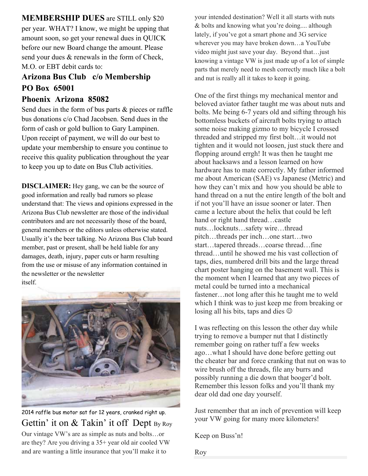**MEMBERSHIP DUES** are STILL only \$20 per year. WHAT? I know, we might be upping that amount soon, so get your renewal dues in QUICK before our new Board change the amount. Please send your dues & renewals in the form of Check, M.O. or EBT debit cards to:

# **Arizona Bus Club c/o Membership PO Box 65001**

#### **Phoenix Arizona 85082**

Send dues in the form of bus parts & pieces or raffle bus donations c/o Chad Jacobsen. Send dues in the form of cash or gold bullion to Gary Lampinen. Upon receipt of payment, we will do our best to update your membership to ensure you continue to receive this quality publication throughout the year to keep you up to date on Bus Club activities.

**DISCLAIMER:** Hey gang, we can be the source of good information and really bad rumors so please understand that: The views and opinions expressed in the Arizona Bus Club newsletter are those of the individual contributors and are not necessarily those of the board, general members or the editors unless otherwise stated. Usually it's the beer talking. No Arizona Bus Club board member, past or present, shall be held liable for any damages, death, injury, paper cuts or harm resulting from the use or misuse of any information contained in the newsletter or the newsletter itself.



2014 raffle bus motor sat for 12 years, cranked right up. Gettin' it on & Takin' it off Dept By Roy Our vintage VW's are as simple as nuts and bolts…or are they? Are you driving a 35+ year old air cooled VW and are wanting a little insurance that you'll make it to

your intended destination? Well it all starts with nuts & bolts and knowing what you're doing.... although lately, if you've got a smart phone and 3G service wherever you may have broken down…a YouTube video might just save your day. Beyond that…just knowing a vintage VW is just made up of a lot of simple parts that merely need to mesh correctly much like a bolt and nut is really all it takes to keep it going.

One of the first things my mechanical mentor and beloved aviator father taught me was about nuts and bolts. Me being 6-7 years old and sifting through his bottomless buckets of aircraft bolts trying to attach some noise making gizmo to my bicycle I crossed threaded and stripped my first bolt…it would not tighten and it would not loosen, just stuck there and flopping around errgh! It was then he taught me about hacksaws and a lesson learned on how hardware has to mate correctly. My father informed me about American (SAE) vs Japanese (Metric) and how they can't mix and how you should be able to hand thread on a nut the entire length of the bolt and if not you'll have an issue sooner or later. Then came a lecture about the helix that could be left hand or right hand thread…castle nuts…locknuts…safety wire…thread pitch…threads per inch…one start…two start…tapered threads…coarse thread…fine thread…until he showed me his vast collection of taps, dies, numbered drill bits and the large thread chart poster hanging on the basement wall. This is the moment when I learned that any two pieces of metal could be turned into a mechanical fastener…not long after this he taught me to weld which I think was to just keep me from breaking or losing all his bits, taps and dies  $\odot$ 

I was reflecting on this lesson the other day while trying to remove a bumper nut that I distinctly remember going on rather tuff a few weeks ago…what I should have done before getting out the cheater bar and force cranking that nut on was to wire brush off the threads, file any burrs and possibly running a die down that booger'd bolt. Remember this lesson folks and you'll thank my dear old dad one day yourself.

Just remember that an inch of prevention will keep your VW going for many more kilometers!

Keep on Buss'n!

Roy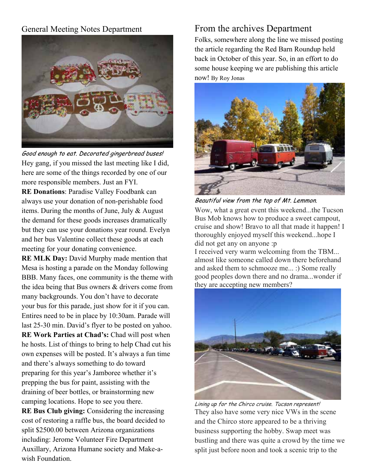### General Meeting Notes Department



Good enough to eat. Decorated gingerbread buses! Hey gang, if you missed the last meeting like I did, here are some of the things recorded by one of our more responsible members. Just an FYI.

**RE Donations**: Paradise Valley Foodbank can always use your donation of non-perishable food items. During the months of June, July & August the demand for these goods increases dramatically but they can use your donations year round. Evelyn and her bus Valentine collect these goods at each meeting for your donating convenience.

**RE MLK Day:** David Murphy made mention that Mesa is hosting a parade on the Monday following BBB. Many faces, one community is the theme with the idea being that Bus owners & drivers come from many backgrounds. You don't have to decorate your bus for this parade, just show for it if you can. Entires need to be in place by 10:30am. Parade will last 25-30 min. David's flyer to be posted on yahoo. **RE Work Parties at Chad's:** Chad will post when he hosts. List of things to bring to help Chad cut his own expenses will be posted. It's always a fun time and there's always something to do toward preparing for this year's Jamboree whether it's prepping the bus for paint, assisting with the draining of beer bottles, or brainstorming new camping locations. Hope to see you there.

**RE Bus Club giving:** Considering the increasing cost of restoring a raffle bus, the board decided to split \$2500.00 between Arizona organizations including: Jerome Volunteer Fire Department Auxillary, Arizona Humane society and Make-awish Foundation.

# From the archives Department

Folks, somewhere along the line we missed posting the article regarding the Red Barn Roundup held back in October of this year. So, in an effort to do some house keeping we are publishing this article now! By Roy Jonas



Beautiful view from the top of Mt. Lemmon.

Wow, what a great event this weekend...the Tucson Bus Mob knows how to produce a sweet campout, cruise and show! Bravo to all that made it happen! I thoroughly enjoyed myself this weekend...hope I did not get any on anyone :p

I received very warm welcoming from the TBM... almost like someone called down there beforehand and asked them to schmooze me... :) Some really good peoples down there and no drama...wonder if they are accepting new members?



Lining up for the Chirco cruise. Tucson represent! They also have some very nice VWs in the scene and the Chirco store appeared to be a thriving business supporting the hobby. Swap meet was bustling and there was quite a crowd by the time we split just before noon and took a scenic trip to the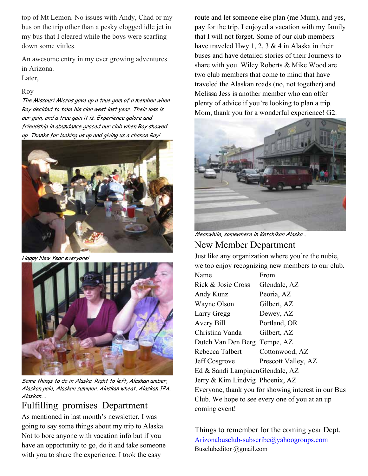top of Mt Lemon. No issues with Andy, Chad or my bus on the trip other than a pesky clogged idle jet in my bus that I cleared while the boys were scarfing down some vittles.

An awesome entry in my ever growing adventures in Arizona.

#### Later,

#### Roy

The Missouri Micros gave up a true gem of a member when Roy decided to take his clan west last year. Their loss is our gain, and a true gain it is. Experience galore and friendship in abundance graced our club when Roy showed up. Thanks for looking us up and giving us a chance Roy!



Happy New Year everyone!



Some things to do in Alaska. Right to left, Alaskan amber, Alaskan pale, Alaskan summer, Alaskan wheat, Alaskan IPA, Alaskan….

Fulfilling promises Department

As mentioned in last month's newsletter, I was going to say some things about my trip to Alaska. Not to bore anyone with vacation info but if you have an opportunity to go, do it and take someone with you to share the experience. I took the easy

route and let someone else plan (me Mum), and yes, pay for the trip. I enjoyed a vacation with my family that I will not forget. Some of our club members have traveled Hwy 1, 2, 3  $\&$  4 in Alaska in their buses and have detailed stories of their Journeys to share with you. Wiley Roberts & Mike Wood are two club members that come to mind that have traveled the Alaskan roads (no, not together) and Melissa Jess is another member who can offer plenty of advice if you're looking to plan a trip. Mom, thank you for a wonderful experience! G2.



Meanwhile, somewhere in Ketchikan Alaska…

# New Member Department

Just like any organization where you're the nubie, we too enjoy recognizing new members to our club.

Name From Rick & Josie Cross Glendale, AZ Andy Kunz Peoria, AZ Wayne Olson Gilbert, AZ Larry Gregg Dewey, AZ Avery Bill Portland, OR Christina Vanda Gilbert, AZ Dutch Van Den Berg Tempe, AZ Rebecca Talbert Cottonwood, AZ Jeff Cosgrove Prescott Valley, AZ Ed & Sandi Lampinen Glendale, AZ Jerry & Kim Lindvig Phoenix, AZ Everyone, thank you for showing interest in our Bus Club. We hope to see every one of you at an up coming event!

Things to remember for the coming year Dept. Arizonabusclub-subscribe@yahoogroups.com Busclubeditor @gmail.com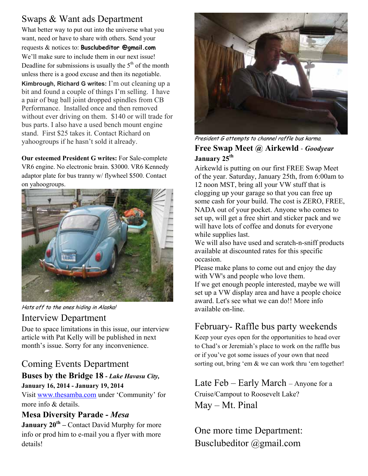# Swaps & Want ads Department

What better way to put out into the universe what you want, need or have to share with others. Send your requests & notices to: **Busclubeditor @gmail.com** We'll make sure to include them in our next issue! Deadline for submissions is usually the  $5<sup>th</sup>$  of the month unless there is a good excuse and then its negotiable. **Kimbrough, Richard G writes:** I'm out cleaning up a bit and found a couple of things I'm selling. I have a pair of bug ball joint dropped spindles from CB Performance. Installed once and then removed without ever driving on them. \$140 or will trade for bus parts. I also have a used bench mount engine stand. First \$25 takes it. Contact Richard on yahoogroups if he hasn't sold it already.

**Our esteemed President G writes:** For Sale-complete VR6 engine. No electronic brain. \$3000. VR6 Kennedy adaptor plate for bus tranny w/ flywheel \$500. Contact on yahoogroups.



Hats off to the ones hiding in Alaska!

### Interview Department

Due to space limitations in this issue, our interview article with Pat Kelly will be published in next month's issue. Sorry for any inconvenience.

# Coming Events Department

### **Buses by the Bridge 18 -** *Lake Havasu City,*  **January 16, 2014 - January 19, 2014**

Visit www.thesamba.com under 'Community' for more info & details.

### **Mesa Diversity Parade -** *Mesa*

**January 20<sup>th</sup> – Contact David Murphy for more** info or prod him to e-mail you a flyer with more details!



### President G attempts to channel raffle bus karma. **Free Swap Meet @ Airkewld** - *Goodyear* **January 25th**

Airkewld is putting on our first FREE Swap Meet of the year. Saturday, January 25th, from 6:00am to 12 noon MST, bring all your VW stuff that is clogging up your garage so that you can free up some cash for your build. The cost is ZERO, FREE, NADA out of your pocket. Anyone who comes to set up, will get a free shirt and sticker pack and we will have lots of coffee and donuts for everyone while supplies last.

We will also have used and scratch-n-sniff products available at discounted rates for this specific occasion.

Please make plans to come out and enjoy the day with VW's and people who love them. If we get enough people interested, maybe we will set up a VW display area and have a people choice award. Let's see what we can do!! More info available on-line.

# February- Raffle bus party weekends

Keep your eyes open for the opportunities to head over to Chad's or Jeremiah's place to work on the raffle bus or if you've got some issues of your own that need sorting out, bring 'em & we can work thru 'em together!

Late Feb – Early March – Anyone for a Cruise/Campout to Roosevelt Lake? May – Mt. Pinal

One more time Department: Busclubeditor @gmail.com